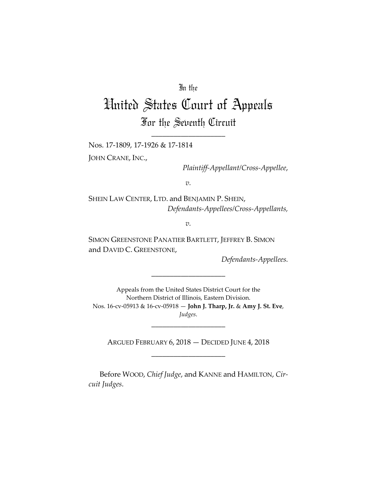## In the

# United States Court of Appeals For the Seventh Circuit

\_\_\_\_\_\_\_\_\_\_\_\_\_\_\_\_\_\_\_\_

Nos. 17-1809, 17-1926 & 17-1814

JOHN CRANE, INC.,

*Plaintiff-Appellant/Cross-Appellee*,

*v.*

SHEIN LAW CENTER, LTD. and BENJAMIN P. SHEIN, *Defendants-Appellees/Cross-Appellants,*

*v.*

SIMON GREENSTONE PANATIER BARTLETT, JEFFREY B. SIMON and DAVID C. GREENSTONE,

*Defendants-Appellees.*

Appeals from the United States District Court for the Northern District of Illinois, Eastern Division. Nos. 16-cv-05913 & 16-cv-05918 — **John J. Tharp, Jr.** & **Amy J. St. Eve**, *Judges*.

\_\_\_\_\_\_\_\_\_\_\_\_\_\_\_\_\_\_\_\_

ARGUED FEBRUARY 6, 2018 — DECIDED JUNE 4, 2018 \_\_\_\_\_\_\_\_\_\_\_\_\_\_\_\_\_\_\_\_

\_\_\_\_\_\_\_\_\_\_\_\_\_\_\_\_\_\_\_\_

Before WOOD, *Chief Judge*, and KANNE and HAMILTON, *Circuit Judges*.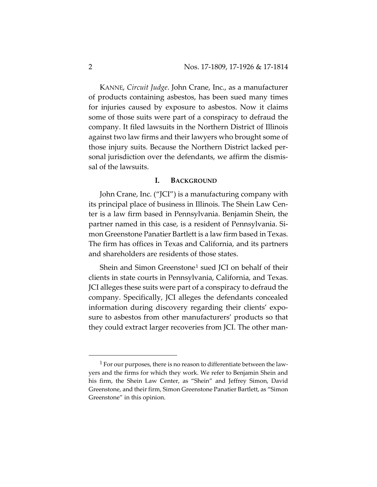KANNE, *Circuit Judge*. John Crane, Inc., as a manufacturer of products containing asbestos, has been sued many times for injuries caused by exposure to asbestos. Now it claims some of those suits were part of a conspiracy to defraud the company. It filed lawsuits in the Northern District of Illinois against two law firms and their lawyers who brought some of those injury suits. Because the Northern District lacked personal jurisdiction over the defendants, we affirm the dismissal of the lawsuits.

#### **I. BACKGROUND**

John Crane, Inc. ("JCI") is a manufacturing company with its principal place of business in Illinois. The Shein Law Center is a law firm based in Pennsylvania. Benjamin Shein, the partner named in this case, is a resident of Pennsylvania. Simon Greenstone Panatier Bartlett is a law firm based in Texas. The firm has offices in Texas and California, and its partners and shareholders are residents of those states.

Shein and Simon Greenstone[1](#page-1-0) sued JCI on behalf of their clients in state courts in Pennsylvania, California, and Texas. JCI alleges these suits were part of a conspiracy to defraud the company. Specifically, JCI alleges the defendants concealed information during discovery regarding their clients' exposure to asbestos from other manufacturers' products so that they could extract larger recoveries from JCI. The other man-

<span id="page-1-0"></span> $1$  For our purposes, there is no reason to differentiate between the lawyers and the firms for which they work. We refer to Benjamin Shein and his firm, the Shein Law Center, as "Shein" and Jeffrey Simon, David Greenstone, and their firm, Simon Greenstone Panatier Bartlett, as "Simon Greenstone" in this opinion.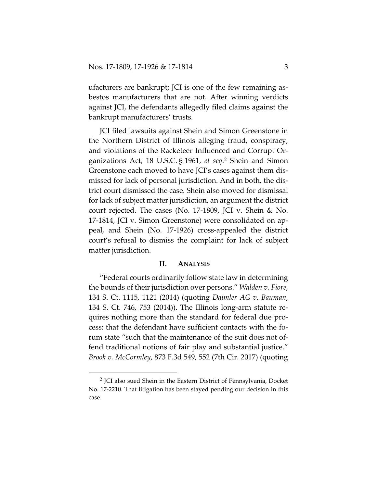ufacturers are bankrupt; JCI is one of the few remaining asbestos manufacturers that are not. After winning verdicts against JCI, the defendants allegedly filed claims against the bankrupt manufacturers' trusts.

JCI filed lawsuits against Shein and Simon Greenstone in the Northern District of Illinois alleging fraud, conspiracy, and violations of the Racketeer Influenced and Corrupt Organizations Act, 18 U.S.C. § 1961, *et seq*.[2](#page-2-0) Shein and Simon Greenstone each moved to have JCI's cases against them dismissed for lack of personal jurisdiction. And in both, the district court dismissed the case. Shein also moved for dismissal for lack of subject matter jurisdiction, an argument the district court rejected. The cases (No. 17-1809, JCI v. Shein & No. 17-1814, JCI v. Simon Greenstone) were consolidated on appeal, and Shein (No. 17-1926) cross-appealed the district court's refusal to dismiss the complaint for lack of subject matter jurisdiction.

### **II. ANALYSIS**

"Federal courts ordinarily follow state law in determining the bounds of their jurisdiction over persons." *Walden v. Fiore*, 134 S. Ct. 1115, 1121 (2014) (quoting *Daimler AG v. Bauman*, 134 S. Ct. 746, 753 (2014)). The Illinois long-arm statute requires nothing more than the standard for federal due process: that the defendant have sufficient contacts with the forum state "such that the maintenance of the suit does not offend traditional notions of fair play and substantial justice." *Brook v. McCormley*, 873 F.3d 549, 552 (7th Cir. 2017) (quoting

<span id="page-2-0"></span> <sup>2</sup> JCI also sued Shein in the Eastern District of Pennsylvania, Docket No. 17-2210. That litigation has been stayed pending our decision in this case.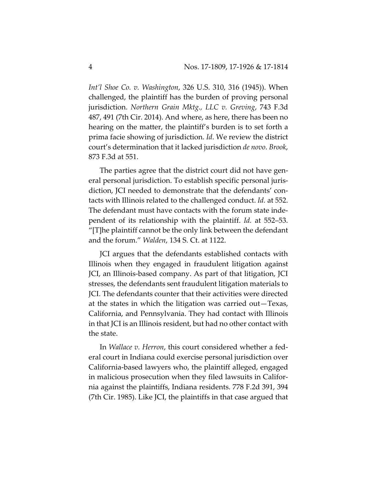*Int'l Shoe Co. v. Washington*, 326 U.S. 310, 316 (1945)). When challenged, the plaintiff has the burden of proving personal jurisdiction. *Northern Grain Mktg., LLC v. Greving*, 743 F.3d 487, 491 (7th Cir. 2014). And where, as here, there has been no hearing on the matter, the plaintiff's burden is to set forth a prima facie showing of jurisdiction. *Id*. We review the district court's determination that it lacked jurisdiction *de novo*. *Brook*, 873 F.3d at 551.

The parties agree that the district court did not have general personal jurisdiction. To establish specific personal jurisdiction, JCI needed to demonstrate that the defendants' contacts with Illinois related to the challenged conduct. *Id.* at 552. The defendant must have contacts with the forum state independent of its relationship with the plaintiff. *Id.* at 552–53. "[T]he plaintiff cannot be the only link between the defendant and the forum." *Walden*, 134 S. Ct. at 1122.

JCI argues that the defendants established contacts with Illinois when they engaged in fraudulent litigation against JCI, an Illinois-based company. As part of that litigation, JCI stresses, the defendants sent fraudulent litigation materials to JCI. The defendants counter that their activities were directed at the states in which the litigation was carried out—Texas, California, and Pennsylvania. They had contact with Illinois in that JCI is an Illinois resident, but had no other contact with the state.

In *Wallace v. Herron*, this court considered whether a federal court in Indiana could exercise personal jurisdiction over California-based lawyers who, the plaintiff alleged, engaged in malicious prosecution when they filed lawsuits in California against the plaintiffs, Indiana residents. 778 F.2d 391, 394 (7th Cir. 1985). Like JCI, the plaintiffs in that case argued that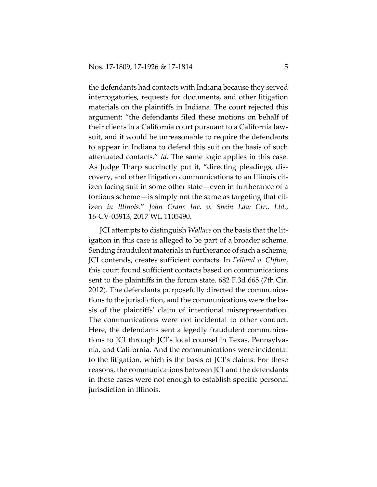the defendants had contacts with Indiana because they served interrogatories, requests for documents, and other litigation materials on the plaintiffs in Indiana. The court rejected this argument: "the defendants filed these motions on behalf of their clients in a California court pursuant to a California lawsuit, and it would be unreasonable to require the defendants to appear in Indiana to defend this suit on the basis of such attenuated contacts." *Id.* The same logic applies in this case. As Judge Tharp succinctly put it, "directing pleadings, discovery, and other litigation communications to an Illinois citizen facing suit in some other state—even in furtherance of a tortious scheme—is simply not the same as targeting that citizen *in Illinois*." *John Crane Inc. v. Shein Law Ctr., Ltd.*, 16-CV-05913, 2017 WL 1105490.

JCI attempts to distinguish *Wallace* on the basis that the litigation in this case is alleged to be part of a broader scheme. Sending fraudulent materials in furtherance of such a scheme, JCI contends, creates sufficient contacts. In *Felland v. Clifton*, this court found sufficient contacts based on communications sent to the plaintiffs in the forum state. 682 F.3d 665 (7th Cir. 2012). The defendants purposefully directed the communications to the jurisdiction, and the communications were the basis of the plaintiffs' claim of intentional misrepresentation. The communications were not incidental to other conduct. Here, the defendants sent allegedly fraudulent communications to JCI through JCI's local counsel in Texas, Pennsylvania, and California. And the communications were incidental to the litigation, which is the basis of JCI's claims. For these reasons, the communications between JCI and the defendants in these cases were not enough to establish specific personal jurisdiction in Illinois.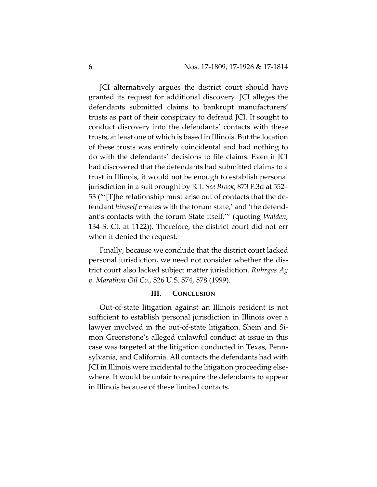JCI alternatively argues the district court should have granted its request for additional discovery. JCI alleges the defendants submitted claims to bankrupt manufacturers' trusts as part of their conspiracy to defraud JCI. It sought to conduct discovery into the defendants' contacts with these trusts, at least one of which is based in Illinois. But the location of these trusts was entirely coincidental and had nothing to do with the defendants' decisions to file claims. Even if JCI had discovered that the defendants had submitted claims to a trust in Illinois, it would not be enough to establish personal jurisdiction in a suit brought by JCI. *See Brook*, 873 F.3d at 552– 53 ("'[T]he relationship must arise out of contacts that the defendant *himself* creates with the forum state,' and 'the defendant's contacts with the forum State itself.'" (quoting *Walden*, 134 S. Ct. at 1122)). Therefore, the district court did not err when it denied the request.

Finally, because we conclude that the district court lacked personal jurisdiction, we need not consider whether the district court also lacked subject matter jurisdiction. *Ruhrgas Ag v. Marathon Oil Co.*, 526 U.S. 574, 578 (1999).

#### **III. CONCLUSION**

Out-of-state litigation against an Illinois resident is not sufficient to establish personal jurisdiction in Illinois over a lawyer involved in the out-of-state litigation. Shein and Simon Greenstone's alleged unlawful conduct at issue in this case was targeted at the litigation conducted in Texas, Pennsylvania, and California. All contacts the defendants had with JCI in Illinois were incidental to the litigation proceeding elsewhere. It would be unfair to require the defendants to appear in Illinois because of these limited contacts.